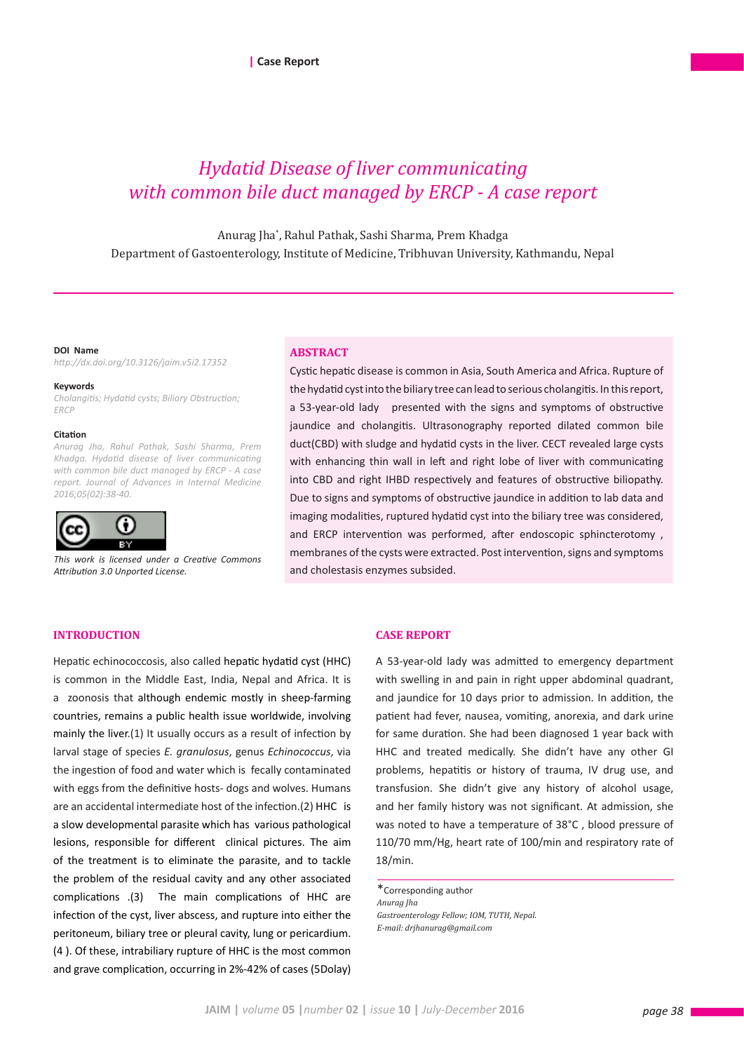# *Hydatid Disease of liver communicating with common bile duct managed by ERCP - A case report*

Anurag Jha\* , Rahul Pathak, Sashi Sharma, Prem Khadga Department of Gastoenterology, Institute of Medicine, Tribhuvan University, Kathmandu, Nepal

**DOI Name** *http://dx.doi.org/10.3126/jaim.v5i2.17352*

#### **Keywords**

*Cholangitis; Hydatid cysts; Biliary Obstruction; ERCP*

#### **Citation**

*Anurag Jha, Rahul Pathak, Sashi Sharma, Prem Khadga. Hydatid disease of liver communicating with common bile duct managed by ERCP - A case report. Journal of Advances in Internal Medicine 2016;05(02):38-40.*



*This work is licensed under a Creative Commons Attribution 3.0 Unported License.*

### **ABSTRACT**

Cystic hepatic disease is common in Asia, South America and Africa. Rupture of the hydatid cyst into the biliary tree can lead to serious cholangitis. In this report, a 53-year-old lady presented with the signs and symptoms of obstructive jaundice and cholangitis. Ultrasonography reported dilated common bile duct(CBD) with sludge and hydatid cysts in the liver. CECT revealed large cysts with enhancing thin wall in left and right lobe of liver with communicating into CBD and right IHBD respectively and features of obstructive biliopathy. Due to signs and symptoms of obstructive jaundice in addition to lab data and imaging modalities, ruptured hydatid cyst into the biliary tree was considered, and ERCP intervention was performed, after endoscopic sphincterotomy , membranes of the cysts were extracted. Post intervention, signs and symptoms and cholestasis enzymes subsided.

# **INTRODUCTION**

Hepatic echinococcosis, also called hepatic hydatid cyst (HHC) is common in the Middle East, India, Nepal and Africa. It is a zoonosis that although endemic mostly in sheep-farming countries, remains a public health issue worldwide, involving mainly the liver.(1) It usually occurs as a result of infection by larval stage of species *E. granulosus*, genus *Echinococcus*, via the ingestion of food and water which is fecally contaminated with eggs from the definitive hosts- dogs and wolves. Humans are an accidental intermediate host of the infection.(2) HHC is a slow developmental parasite which has various pathological lesions, responsible for different clinical pictures. The aim of the treatment is to eliminate the parasite, and to tackle the problem of the residual cavity and any other associated complications .(3) The main complications of HHC are infection of the cyst, liver abscess, and rupture into either the peritoneum, biliary tree or pleural cavity, lung or pericardium. (4 ). Of these, intrabiliary rupture of HHC is the most common and grave complication, occurring in 2%-42% of cases (5Dolay)

# **CASE REPORT**

A 53-year-old lady was admitted to emergency department with swelling in and pain in right upper abdominal quadrant, and jaundice for 10 days prior to admission. In addition, the patient had fever, nausea, vomiting, anorexia, and dark urine for same duration. She had been diagnosed 1 year back with HHC and treated medically. She didn't have any other GI problems, hepatitis or history of trauma, IV drug use, and transfusion. She didn't give any history of alcohol usage, and her family history was not significant. At admission, she was noted to have a temperature of 38°C , blood pressure of 110/70 mm/Hg, heart rate of 100/min and respiratory rate of 18/min.

\*Corresponding author *Anurag Jha Gastroenterology Fellow; IOM, TUTH, Nepal. E-mail: drjhanurag@gmail.com*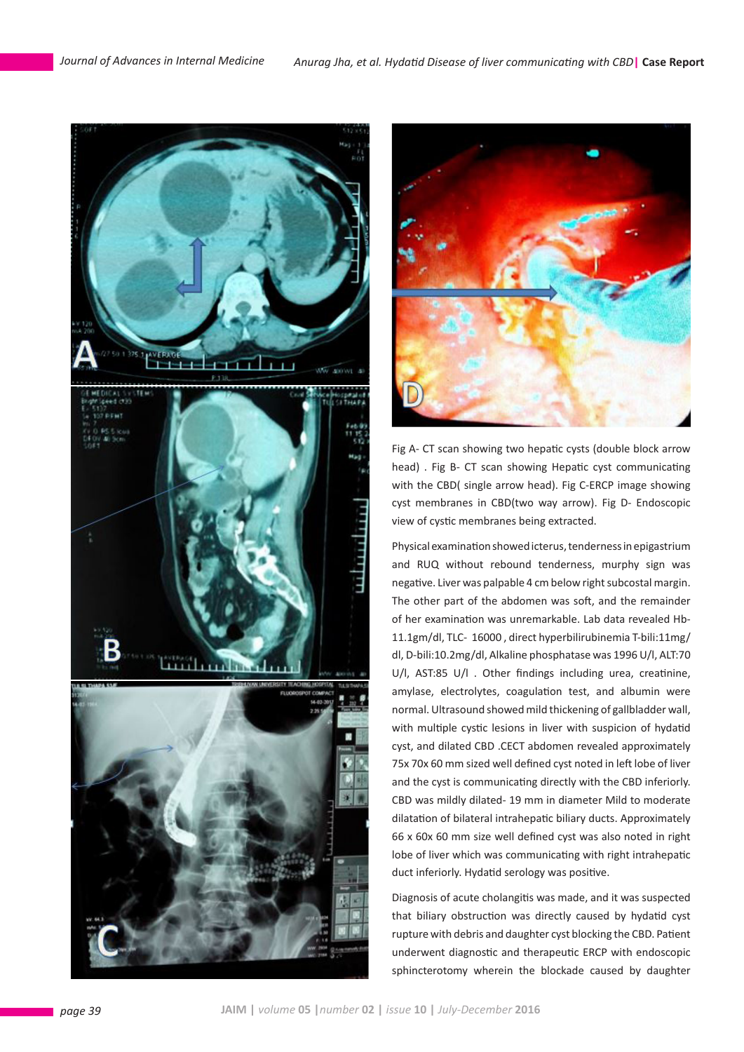



Fig A- CT scan showing two hepatic cysts (double block arrow head) . Fig B- CT scan showing Hepatic cyst communicating with the CBD( single arrow head). Fig C-ERCP image showing cyst membranes in CBD(two way arrow). Fig D- Endoscopic view of cystic membranes being extracted.

Physical examination showed icterus, tenderness in epigastrium and RUQ without rebound tenderness, murphy sign was negative. Liver was palpable 4 cm below right subcostal margin. The other part of the abdomen was soft, and the remainder of her examination was unremarkable. Lab data revealed Hb-11.1gm/dl, TLC- 16000 , direct hyperbilirubinemia T-bili:11mg/ dl, D-bili:10.2mg/dl, Alkaline phosphatase was 1996 U/l, ALT:70 U/l, AST:85 U/l . Other findings including urea, creatinine, amylase, electrolytes, coagulation test, and albumin were normal. Ultrasound showed mild thickening of gallbladder wall, with multiple cystic lesions in liver with suspicion of hydatid cyst, and dilated CBD .CECT abdomen revealed approximately 75x 70x 60 mm sized well defined cyst noted in left lobe of liver and the cyst is communicating directly with the CBD inferiorly. CBD was mildly dilated- 19 mm in diameter Mild to moderate dilatation of bilateral intrahepatic biliary ducts. Approximately 66 x 60x 60 mm size well defined cyst was also noted in right lobe of liver which was communicating with right intrahepatic duct inferiorly. Hydatid serology was positive.

Diagnosis of acute cholangitis was made, and it was suspected that biliary obstruction was directly caused by hydatid cyst rupture with debris and daughter cyst blocking the CBD. Patient underwent diagnostic and therapeutic ERCP with endoscopic sphincterotomy wherein the blockade caused by daughter